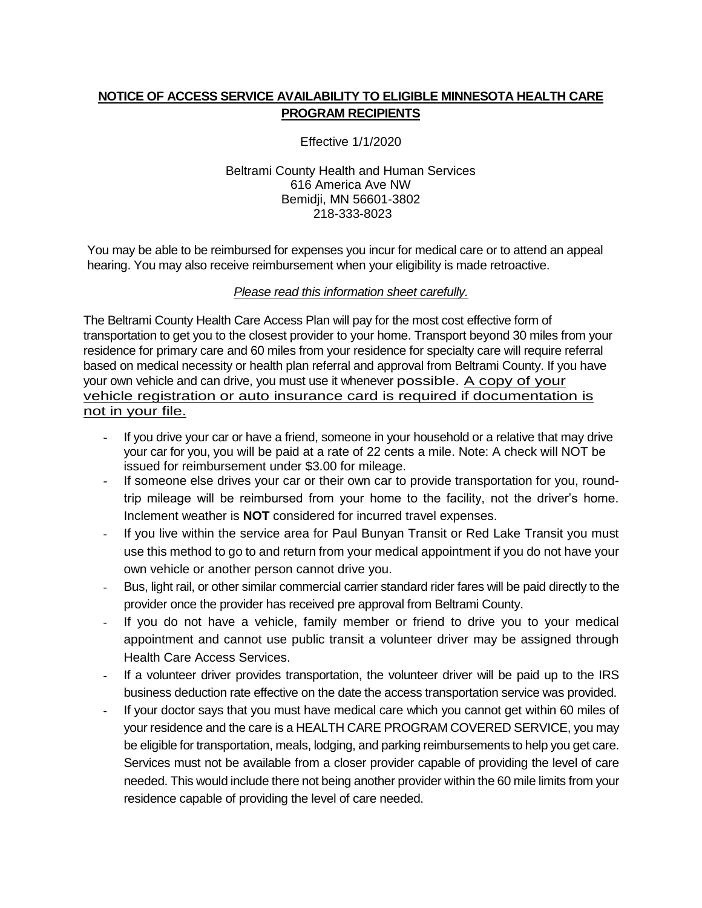## **NOTICE OF ACCESS SERVICE AVAILABILITY TO ELIGIBLE MINNESOTA HEALTH CARE PROGRAM RECIPIENTS**

Effective 1/1/2020

#### Beltrami County Health and Human Services 616 America Ave NW Bemidji, MN 56601-3802 218-333-8023

You may be able to be reimbursed for expenses you incur for medical care or to attend an appeal hearing. You may also receive reimbursement when your eligibility is made retroactive.

### *Please read this information sheet carefully.*

The Beltrami County Health Care Access Plan will pay for the most cost effective form of transportation to get you to the closest provider to your home. Transport beyond 30 miles from your residence for primary care and 60 miles from your residence for specialty care will require referral based on medical necessity or health plan referral and approval from Beltrami County. If you have your own vehicle and can drive, you must use it whenever possible. A copy of your vehicle registration or auto insurance card is required if documentation is not in your file.

- If you drive your car or have a friend, someone in your household or a relative that may drive your car for you, you will be paid at a rate of 22 cents a mile. Note: A check will NOT be issued for reimbursement under \$3.00 for mileage.
- If someone else drives your car or their own car to provide transportation for you, roundtrip mileage will be reimbursed from your home to the facility, not the driver's home. Inclement weather is **NOT** considered for incurred travel expenses.
- If you live within the service area for Paul Bunyan Transit or Red Lake Transit you must use this method to go to and return from your medical appointment if you do not have your own vehicle or another person cannot drive you.
- Bus, light rail, or other similar commercial carrier standard rider fares will be paid directly to the provider once the provider has received pre approval from Beltrami County.
- If you do not have a vehicle, family member or friend to drive you to your medical appointment and cannot use public transit a volunteer driver may be assigned through Health Care Access Services.
- If a volunteer driver provides transportation, the volunteer driver will be paid up to the IRS business deduction rate effective on the date the access transportation service was provided.
- If your doctor says that you must have medical care which you cannot get within 60 miles of your residence and the care is a HEALTH CARE PROGRAM COVERED SERVICE, you may be eligible for transportation, meals, lodging, and parking reimbursements to help you get care. Services must not be available from a closer provider capable of providing the level of care needed. This would include there not being another provider within the 60 mile limits from your residence capable of providing the level of care needed.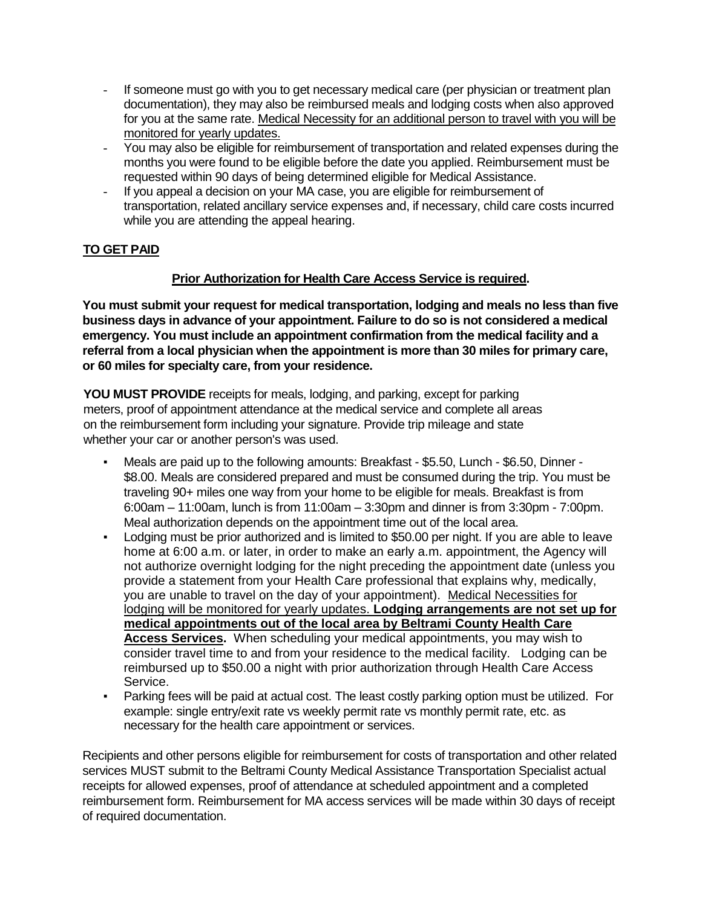- If someone must go with you to get necessary medical care (per physician or treatment plan documentation), they may also be reimbursed meals and lodging costs when also approved for you at the same rate. Medical Necessity for an additional person to travel with you will be monitored for yearly updates.
- You may also be eligible for reimbursement of transportation and related expenses during the months you were found to be eligible before the date you applied. Reimbursement must be requested within 90 days of being determined eligible for Medical Assistance.
- If you appeal a decision on your MA case, you are eligible for reimbursement of transportation, related ancillary service expenses and, if necessary, child care costs incurred while you are attending the appeal hearing.

# **TO GET PAID**

## **Prior Authorization for Health Care Access Service is required.**

**You must submit your request for medical transportation, lodging and meals no less than five business days in advance of your appointment. Failure to do so is not considered a medical emergency. You must include an appointment confirmation from the medical facility and a referral from a local physician when the appointment is more than 30 miles for primary care, or 60 miles for specialty care, from your residence.** 

**YOU MUST PROVIDE** receipts for meals, lodging, and parking, except for parking meters, proof of appointment attendance at the medical service and complete all areas on the reimbursement form including your signature. Provide trip mileage and state whether your car or another person's was used.

- Meals are paid up to the following amounts: Breakfast \$5.50, Lunch \$6.50, Dinner -\$8.00. Meals are considered prepared and must be consumed during the trip. You must be traveling 90+ miles one way from your home to be eligible for meals. Breakfast is from 6:00am – 11:00am, lunch is from 11:00am – 3:30pm and dinner is from 3:30pm - 7:00pm. Meal authorization depends on the appointment time out of the local area.
- Lodging must be prior authorized and is limited to \$50.00 per night. If you are able to leave home at 6:00 a.m. or later, in order to make an early a.m. appointment, the Agency will not authorize overnight lodging for the night preceding the appointment date (unless you provide a statement from your Health Care professional that explains why, medically, you are unable to travel on the day of your appointment). Medical Necessities for lodging will be monitored for yearly updates. **Lodging arrangements are not set up for medical appointments out of the local area by Beltrami County Health Care Access Services.** When scheduling your medical appointments, you may wish to consider travel time to and from your residence to the medical facility. Lodging can be reimbursed up to \$50.00 a night with prior authorization through Health Care Access Service.
- Parking fees will be paid at actual cost. The least costly parking option must be utilized. For example: single entry/exit rate vs weekly permit rate vs monthly permit rate, etc. as necessary for the health care appointment or services.

Recipients and other persons eligible for reimbursement for costs of transportation and other related services MUST submit to the Beltrami County Medical Assistance Transportation Specialist actual receipts for allowed expenses, proof of attendance at scheduled appointment and a completed reimbursement form. Reimbursement for MA access services will be made within 30 days of receipt of required documentation.